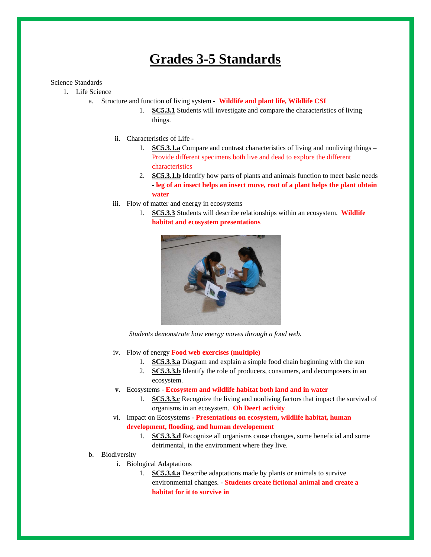## **Grades 3-5 Standards**

## Science Standards

- 1. Life Science
	- a. Structure and function of living system **Wildlife and plant life, Wildlife CSI**
		- 1. **SC5.3.1** Students will investigate and compare the characteristics of living things.
		- ii. Characteristics of Life
			- 1. **SC5.3.1.a** Compare and contrast characteristics of living and nonliving things Provide different specimens both live and dead to explore the different characteristics
			- 2. **SC5.3.1.b** Identify how parts of plants and animals function to meet basic needs - **leg of an insect helps an insect move, root of a plant helps the plant obtain water**
		- iii. Flow of matter and energy in ecosystems
			- 1. **SC5.3.3** Students will describe relationships within an ecosystem. **Wildlife habitat and ecosystem presentations**



*Students demonstrate how energy moves through a food web.* 

- iv. Flow of energy **Food web exercises (multiple)**
	- 1. **SC5.3.3.a** Diagram and explain a simple food chain beginning with the sun
	- 2. **SC5.3.3.b** Identify the role of producers, consumers, and decomposers in an ecosystem.
- **v.** Ecosystems **Ecosystem and wildlife habitat both land and in water**
	- 1. **SC5.3.3.c** Recognize the living and nonliving factors that impact the survival of organisms in an ecosystem. **Oh Deer! activity**
- vi. Impact on Ecosystems **Presentations on ecosystem, wildlife habitat, human development, flooding, and human developement**
	- 1. **SC5.3.3.d** Recognize all organisms cause changes, some beneficial and some detrimental, in the environment where they live.
- b. Biodiversity
	- i. Biological Adaptations
		- 1. **SC5.3.4.a** Describe adaptations made by plants or animals to survive environmental changes. - **Students create fictional animal and create a habitat for it to survive in**